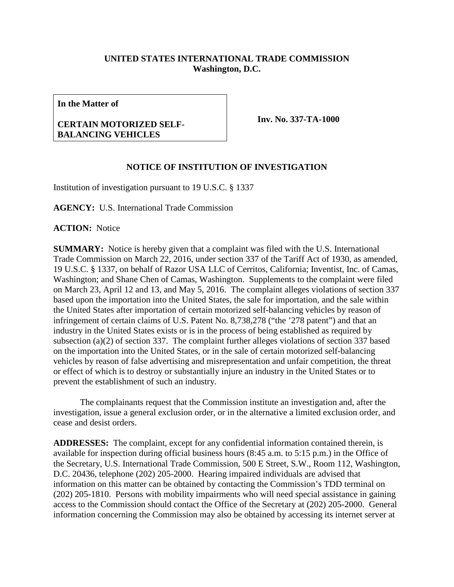## **UNITED STATES INTERNATIONAL TRADE COMMISSION Washington, D.C.**

**In the Matter of**

## **CERTAIN MOTORIZED SELF-BALANCING VEHICLES**

**Inv. No. 337-TA-1000**

## **NOTICE OF INSTITUTION OF INVESTIGATION**

Institution of investigation pursuant to 19 U.S.C. § 1337

**AGENCY:** U.S. International Trade Commission

**ACTION:** Notice

**SUMMARY:** Notice is hereby given that a complaint was filed with the U.S. International Trade Commission on March 22, 2016, under section 337 of the Tariff Act of 1930, as amended, 19 U.S.C. § 1337, on behalf of Razor USA LLC of Cerritos, California; Inventist, Inc. of Camas, Washington; and Shane Chen of Camas, Washington. Supplements to the complaint were filed on March 23, April 12 and 13, and May 5, 2016. The complaint alleges violations of section 337 based upon the importation into the United States, the sale for importation, and the sale within the United States after importation of certain motorized self-balancing vehicles by reason of infringement of certain claims of U.S. Patent No. 8,738,278 ("the '278 patent") and that an industry in the United States exists or is in the process of being established as required by subsection (a)(2) of section 337. The complaint further alleges violations of section 337 based on the importation into the United States, or in the sale of certain motorized self-balancing vehicles by reason of false advertising and misrepresentation and unfair competition, the threat or effect of which is to destroy or substantially injure an industry in the United States or to prevent the establishment of such an industry.

The complainants request that the Commission institute an investigation and, after the investigation, issue a general exclusion order, or in the alternative a limited exclusion order, and cease and desist orders.

**ADDRESSES:** The complaint, except for any confidential information contained therein, is available for inspection during official business hours (8:45 a.m. to 5:15 p.m.) in the Office of the Secretary, U.S. International Trade Commission, 500 E Street, S.W., Room 112, Washington, D.C. 20436, telephone (202) 205-2000. Hearing impaired individuals are advised that information on this matter can be obtained by contacting the Commission's TDD terminal on (202) 205-1810. Persons with mobility impairments who will need special assistance in gaining access to the Commission should contact the Office of the Secretary at (202) 205-2000. General information concerning the Commission may also be obtained by accessing its internet server at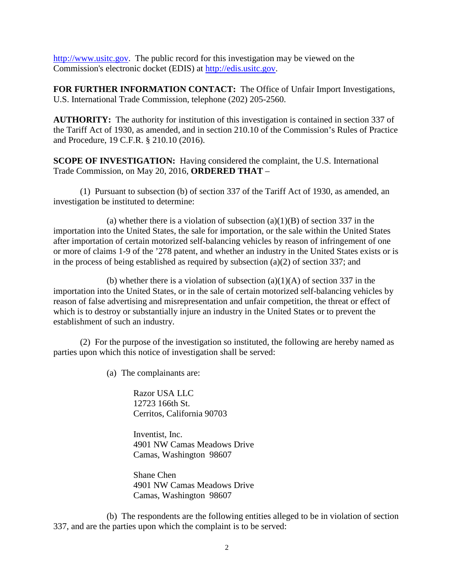[http://www.usitc.gov.](http://www.usitc.gov/) The public record for this investigation may be viewed on the Commission's electronic docket (EDIS) at [http://edis.usitc.gov.](http://edis.usitc.gov/)

**FOR FURTHER INFORMATION CONTACT:** The Office of Unfair Import Investigations, U.S. International Trade Commission, telephone (202) 205-2560.

**AUTHORITY:** The authority for institution of this investigation is contained in section 337 of the Tariff Act of 1930, as amended, and in section 210.10 of the Commission's Rules of Practice and Procedure, 19 C.F.R. § 210.10 (2016).

**SCOPE OF INVESTIGATION:** Having considered the complaint, the U.S. International Trade Commission, on May 20, 2016, **ORDERED THAT** –

(1) Pursuant to subsection (b) of section 337 of the Tariff Act of 1930, as amended, an investigation be instituted to determine:

(a) whether there is a violation of subsection  $(a)(1)(B)$  of section 337 in the importation into the United States, the sale for importation, or the sale within the United States after importation of certain motorized self-balancing vehicles by reason of infringement of one or more of claims 1-9 of the '278 patent, and whether an industry in the United States exists or is in the process of being established as required by subsection (a)(2) of section 337; and

(b) whether there is a violation of subsection  $(a)(1)(A)$  of section 337 in the importation into the United States, or in the sale of certain motorized self-balancing vehicles by reason of false advertising and misrepresentation and unfair competition, the threat or effect of which is to destroy or substantially injure an industry in the United States or to prevent the establishment of such an industry.

(2) For the purpose of the investigation so instituted, the following are hereby named as parties upon which this notice of investigation shall be served:

(a) The complainants are:

Razor USA LLC 12723 166th St. Cerritos, California 90703

Inventist, Inc. 4901 NW Camas Meadows Drive Camas, Washington 98607

Shane Chen 4901 NW Camas Meadows Drive Camas, Washington 98607

(b) The respondents are the following entities alleged to be in violation of section 337, and are the parties upon which the complaint is to be served: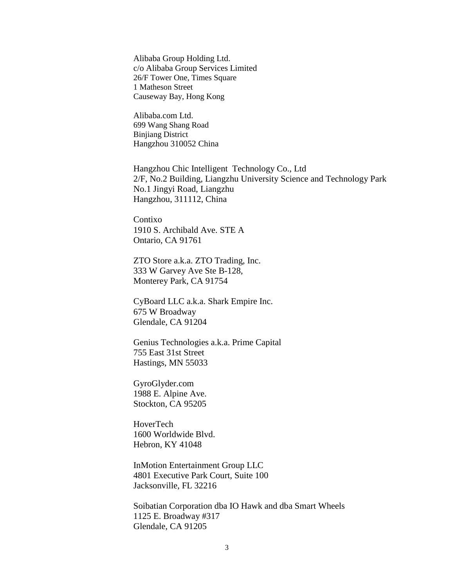Alibaba Group Holding Ltd. c/o Alibaba Group Services Limited 26/F Tower One, Times Square 1 Matheson Street Causeway Bay, Hong Kong

Alibaba.com Ltd. 699 Wang Shang Road Binjiang District Hangzhou 310052 China

Hangzhou Chic Intelligent Technology Co., Ltd 2/F, No.2 Building, Liangzhu University Science and Technology Park No.1 Jingyi Road, Liangzhu Hangzhou, 311112, China

Contixo 1910 S. Archibald Ave. STE A Ontario, CA 91761

ZTO Store a.k.a. ZTO Trading, Inc. 333 W Garvey Ave Ste B-128, Monterey Park, CA 91754

CyBoard LLC a.k.a. Shark Empire Inc. 675 W Broadway Glendale, CA 91204

Genius Technologies a.k.a. Prime Capital 755 East 31st Street Hastings, MN 55033

GyroGlyder.com 1988 E. Alpine Ave. Stockton, CA 95205

HoverTech 1600 Worldwide Blvd. Hebron, KY 41048

InMotion Entertainment Group LLC 4801 Executive Park Court, Suite 100 Jacksonville, FL 32216

Soibatian Corporation dba IO Hawk and dba Smart Wheels 1125 E. Broadway #317 Glendale, CA 91205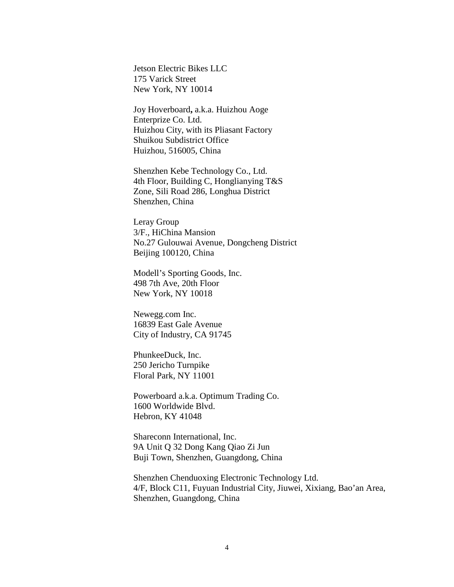Jetson Electric Bikes LLC 175 Varick Street New York, NY 10014

Joy Hoverboard**,** a.k.a. Huizhou Aoge Enterprize Co. Ltd. Huizhou City, with its Pliasant Factory Shuikou Subdistrict Office Huizhou, 516005, China

Shenzhen Kebe Technology Co., Ltd. 4th Floor, Building C, Honglianying T&S Zone, Sili Road 286, Longhua District Shenzhen, China

Leray Group 3/F., HiChina Mansion No.27 Gulouwai Avenue, Dongcheng District Beijing 100120, China

Modell's Sporting Goods, Inc. 498 7th Ave, 20th Floor New York, NY 10018

Newegg.com Inc. 16839 East Gale Avenue City of Industry, CA 91745

PhunkeeDuck, Inc. 250 Jericho Turnpike Floral Park, NY 11001

Powerboard a.k.a. Optimum Trading Co. 1600 Worldwide Blvd. Hebron, KY 41048

Shareconn International, Inc. 9A Unit Q 32 Dong Kang Qiao Zi Jun Buji Town, Shenzhen, Guangdong, China

Shenzhen Chenduoxing Electronic Technology Ltd. 4/F, Block C11, Fuyuan Industrial City, Jiuwei, Xixiang, Bao'an Area, Shenzhen, Guangdong, China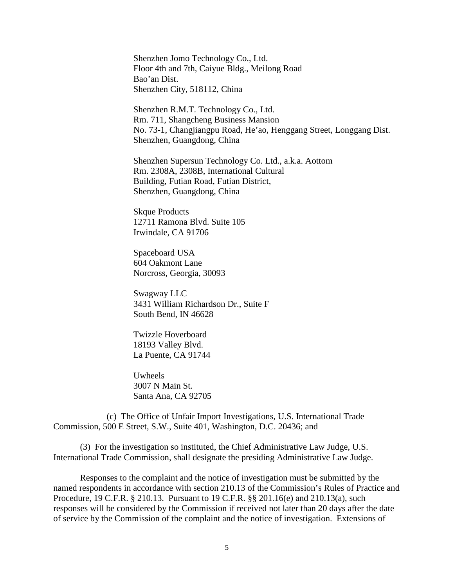Shenzhen Jomo Technology Co., Ltd. Floor 4th and 7th, Caiyue Bldg., Meilong Road Bao'an Dist. Shenzhen City, 518112, China

Shenzhen R.M.T. Technology Co., Ltd. Rm. 711, Shangcheng Business Mansion No. 73-1, Changjiangpu Road, He'ao, Henggang Street, Longgang Dist. Shenzhen, Guangdong, China

Shenzhen Supersun Technology Co. Ltd., a.k.a. Aottom Rm. 2308A, 2308B, International Cultural Building, Futian Road, Futian District, Shenzhen, Guangdong, China

Skque Products 12711 Ramona Blvd. Suite 105 Irwindale, CA 91706

Spaceboard USA 604 Oakmont Lane Norcross, Georgia, 30093

Swagway LLC 3431 William Richardson Dr., Suite F South Bend, IN 46628

Twizzle Hoverboard 18193 Valley Blvd. La Puente, CA 91744

Uwheels 3007 N Main St. Santa Ana, CA 92705

(c) The Office of Unfair Import Investigations, U.S. International Trade Commission, 500 E Street, S.W., Suite 401, Washington, D.C. 20436; and

(3) For the investigation so instituted, the Chief Administrative Law Judge, U.S. International Trade Commission, shall designate the presiding Administrative Law Judge.

Responses to the complaint and the notice of investigation must be submitted by the named respondents in accordance with section 210.13 of the Commission's Rules of Practice and Procedure, 19 C.F.R. § 210.13. Pursuant to 19 C.F.R. §§ 201.16(e) and 210.13(a), such responses will be considered by the Commission if received not later than 20 days after the date of service by the Commission of the complaint and the notice of investigation. Extensions of